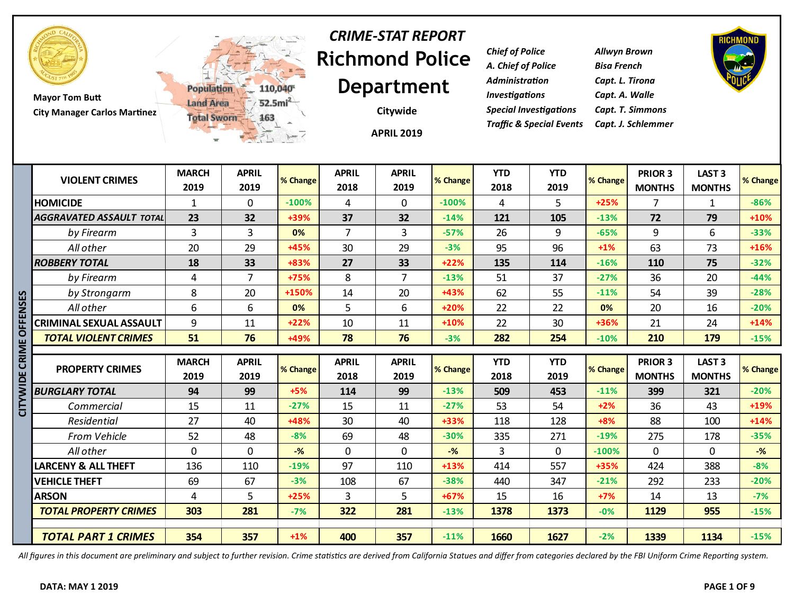

**Mayor Tom Butt City Manager Carlos Martinez**



### **Richmond Police Department** *CRIME-STAT REPORT*

**Citywide**

**APRIL 2019**

*Chief of Police Allwyn Brown A. Chief of Police Bisa French Administration Capt. L. Tirona Investigations Capt. A. Walle Special Investigations Capt. T. Simmons Traffic & Special Events Capt. J. Schlemmer*



|          | <b>VIOLENT CRIMES</b>           | <b>MARCH</b><br>2019 | <b>APRIL</b><br>2019 | % Change | <b>APRIL</b><br>2018 | <b>APRIL</b><br>2019 | % Change | <b>YTD</b><br>2018 | <b>YTD</b><br>2019 | % Change | <b>PRIOR 3</b><br><b>MONTHS</b> | LAST <sub>3</sub><br><b>MONTHS</b> | % Change |
|----------|---------------------------------|----------------------|----------------------|----------|----------------------|----------------------|----------|--------------------|--------------------|----------|---------------------------------|------------------------------------|----------|
|          | <b>HOMICIDE</b>                 | $\mathbf{1}$         | $\Omega$             | $-100%$  | 4                    | $\mathbf{0}$         | $-100%$  | 4                  | 5                  | $+25%$   | $\overline{7}$                  | $\mathbf{1}$                       | $-86%$   |
|          | <b>AGGRAVATED ASSAULT TOTAL</b> | 23                   | 32                   | +39%     | 37                   | 32                   | $-14%$   | 121                | 105                | $-13%$   | 72                              | 79                                 | +10%     |
|          | by Firearm                      | 3                    | 3                    | 0%       | $\overline{7}$       | 3                    | $-57%$   | 26                 | 9                  | $-65%$   | 9                               | 6                                  | $-33%$   |
|          | All other                       | 20                   | 29                   | +45%     | 30                   | 29                   | $-3%$    | 95                 | 96                 | $+1\%$   | 63                              | 73                                 | $+16%$   |
|          | <b>ROBBERY TOTAL</b>            | 18                   | 33                   | +83%     | 27                   | 33                   | $+22%$   | 135                | 114                | $-16%$   | 110                             | 75                                 | $-32%$   |
|          | by Firearm                      | 4                    | $\overline{7}$       | $+75%$   | 8                    | 7                    | $-13%$   | 51                 | 37                 | $-27%$   | 36                              | 20                                 | $-44%$   |
|          | by Strongarm                    | 8                    | 20                   | +150%    | 14                   | 20                   | +43%     | 62                 | 55                 | $-11%$   | 54                              | 39                                 | $-28%$   |
| ທ        | All other                       | 6                    | 6                    | 0%       | 5                    | 6                    | $+20%$   | 22                 | 22                 | 0%       | 20                              | 16                                 | $-20%$   |
|          | <b>CRIMINAL SEXUAL ASSAULT</b>  | 9                    | 11                   | $+22%$   | 10                   | 11                   | $+10%$   | 22                 | 30                 | +36%     | 21                              | 24                                 | $+14%$   |
| O<br>ш   | <b>TOTAL VIOLENT CRIMES</b>     | 51                   | 76                   | +49%     | 78                   | 76                   | $-3%$    | 282                | 254                | $-10%$   | 210                             | 179                                | $-15%$   |
|          |                                 |                      |                      |          |                      |                      |          |                    |                    |          |                                 |                                    |          |
|          |                                 |                      |                      |          |                      |                      |          |                    |                    |          |                                 |                                    |          |
| CRIM     |                                 | <b>MARCH</b>         | <b>APRIL</b>         |          | <b>APRIL</b>         | <b>APRIL</b>         |          | <b>YTD</b>         | <b>YTD</b>         |          | <b>PRIOR 3</b>                  | <b>LAST 3</b>                      |          |
| ш        | <b>PROPERTY CRIMES</b>          | 2019                 | 2019                 | % Change | 2018                 | 2019                 | % Change | 2018               | 2019               | % Change | <b>MONTHS</b>                   | <b>MONTHS</b>                      |          |
|          | <b>BURGLARY TOTAL</b>           | 94                   | 99                   | $+5%$    | 114                  | 99                   | $-13%$   | 509                | 453                | $-11%$   | 399                             | 321                                | $-20%$   |
|          | Commercial                      | 15                   | 11                   | $-27%$   | 15                   | 11                   | $-27%$   | 53                 | 54                 | $+2%$    | 36                              | 43                                 | +19%     |
| <u>.</u> | Residential                     | 27                   | 40                   | +48%     | 30                   | 40                   | +33%     | 118                | 128                | $+8%$    | 88                              | 100                                | $+14%$   |
|          | From Vehicle                    | 52                   | 48                   | $-8%$    | 69                   | 48                   | $-30%$   | 335                | 271                | $-19%$   | 275                             | 178                                | $-35%$   |
|          | All other                       | $\Omega$             | $\Omega$             | $-$ %    | $\mathbf 0$          | $\Omega$             | $-$ %    | 3                  | $\overline{0}$     | $-100%$  | $\Omega$                        | $\mathbf 0$                        | $-$ %    |
|          | <b>LARCENY &amp; ALL THEFT</b>  | 136                  | 110                  | $-19%$   | 97                   | 110                  | $+13%$   | 414                | 557                | +35%     | 424                             | 388                                | $-8%$    |
|          | <b>VEHICLE THEFT</b>            | 69                   | 67                   | $-3%$    | 108                  | 67                   | $-38%$   | 440                | 347                | $-21%$   | 292                             | 233                                | $-20%$   |
|          | <b>ARSON</b>                    | 4                    | 5                    | $+25%$   | 3                    | 5                    | $+67%$   | 15                 | 16                 | $+7%$    | 14                              | 13                                 | $-7%$    |
|          | <b>TOTAL PROPERTY CRIMES</b>    | 303                  | 281                  | $-7%$    | 322                  | 281                  | $-13%$   | 1378               | 1373               | $-0%$    | 1129                            | 955                                | $-15%$   |
|          |                                 |                      |                      |          |                      |                      |          |                    |                    |          |                                 |                                    | % Change |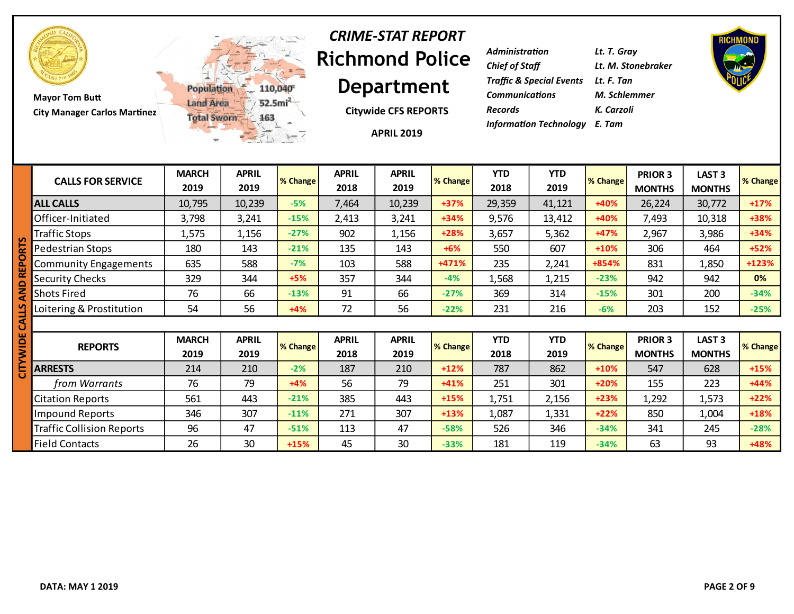

**Mayor Tom Butt City Manager Carlos Martinez**



#### **Richmond Police Department** *CRIME-STAT REPORT*

**Citywide CFS REPORTS**

**APRIL 2019**

| <b>Administration</b>                          | Lt. T. Gray        |
|------------------------------------------------|--------------------|
| <b>Chief of Staff</b>                          | Lt. M. Stonebraker |
| <b>Traffic &amp; Special Events</b> Lt. F. Tan |                    |
| <b>Communications</b>                          | M. Schlemmer       |
| <b>Records</b>                                 | K. Carzoli         |
| <b>Information Technology</b> E. Tam           |                    |

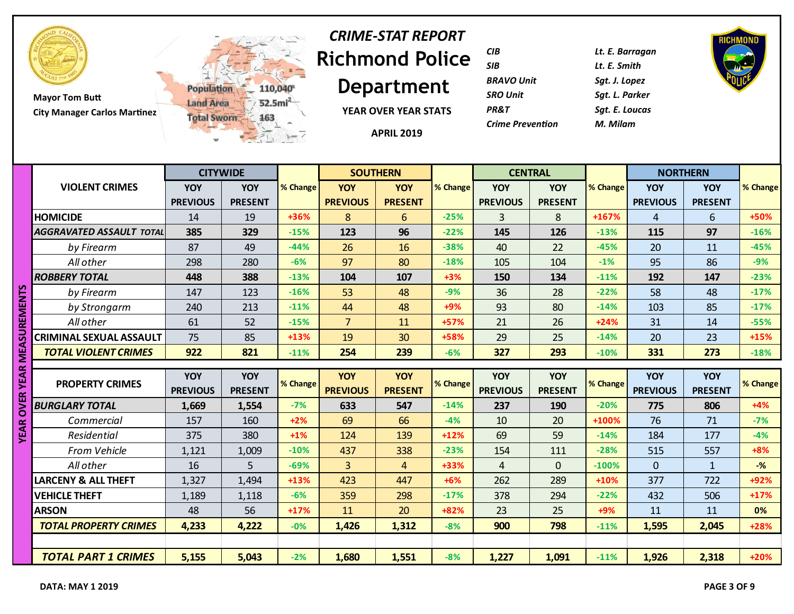

# **Richmond Police**  *CRIME-STAT REPORT*

**Department**

**YEAR OVER YEAR STATS**

**APRIL 2019**

| CIB                     | Lt. E. Barragan |
|-------------------------|-----------------|
| SIB                     | Lt. E. Smith    |
| <b>BRAVO Unit</b>       | Sgt. J. Lopez   |
| SRO Unit                | Sat. L. Parker  |
| PR&T                    | Sat. E. Loucas  |
| <b>Crime Prevention</b> | M. Milam        |
|                         |                 |



|                  |                                     | <b>CITYWIDE</b> |                 |          | <b>SOUTHERN</b> |                |          | <b>CENTRAL</b>  |                |          | <b>NORTHERN</b> |                |          |
|------------------|-------------------------------------|-----------------|-----------------|----------|-----------------|----------------|----------|-----------------|----------------|----------|-----------------|----------------|----------|
|                  | <b>VIOLENT CRIMES</b>               | YOY             | YOY             | % Change | YOY             | <b>YOY</b>     | % Change | <b>YOY</b>      | YOY            | % Change | YOY             | <b>YOY</b>     | % Change |
|                  |                                     | <b>PREVIOUS</b> | <b>PRESENT</b>  |          | <b>PREVIOUS</b> | <b>PRESENT</b> |          | <b>PREVIOUS</b> | <b>PRESENT</b> |          | <b>PREVIOUS</b> | <b>PRESENT</b> |          |
|                  | <b>HOMICIDE</b>                     | 14              | 19              | +36%     | 8               | 6              | $-25%$   | $\overline{3}$  | 8              | +167%    | $\overline{4}$  | 6              | +50%     |
|                  | <b>AGGRAVATED ASSAULT TOTAL</b>     | 385             | 329             | $-15%$   | 123             | 96             | $-22%$   | 145             | 126            | $-13%$   | 115             | 97             | $-16%$   |
|                  | by Firearm                          | 87              | 49              | $-44%$   | 26              | 16             | $-38%$   | 40              | 22             | $-45%$   | 20              | 11             | $-45%$   |
|                  | All other                           | 298             | 280             | $-6%$    | 97              | 80             | $-18%$   | 105             | 104            | $-1%$    | 95              | 86             | $-9%$    |
|                  | <b>ROBBERY TOTAL</b>                | 448             | 388             | $-13%$   | 104             | 107            | $+3%$    | 150             | 134            | $-11%$   | 192             | 147            | $-23%$   |
|                  | by Firearm                          | 147             | 123             | $-16%$   | 53              | 48             | $-9%$    | 36              | 28             | $-22%$   | 58              | 48             | $-17%$   |
|                  | by Strongarm                        | 240             | 213             | $-11%$   | 44              | 48             | $+9%$    | 93              | 80             | $-14%$   | 103             | 85             | $-17%$   |
|                  | All other                           | 61              | 52              | $-15%$   | $\overline{7}$  | 11             | +57%     | 21              | 26             | $+24%$   | 31              | 14             | $-55%$   |
|                  | CRIMINAL SEXUAL ASSAULT             | 75              | 85              | $+13%$   | 19              | 30             | +58%     | 29              | 25             | $-14%$   | 20              | 23             | $+15%$   |
| MEASUREMENTS     | <b>TOTAL VIOLENT CRIMES</b>         | 922             | 821             | $-11%$   | 254             | 239            | $-6%$    | 327             | 293            | $-10%$   | 331             | 273            | $-18%$   |
|                  |                                     | <b>YOY</b>      | YOY             |          | <b>YOY</b>      | <b>YOY</b>     |          | <b>YOY</b>      | YOY            |          | YOY             | <b>YOY</b>     |          |
|                  | <b>PROPERTY CRIMES</b>              |                 |                 | % Change |                 |                | % Change |                 |                | % Change |                 |                | % Change |
|                  |                                     |                 |                 |          |                 |                |          |                 |                |          |                 |                |          |
|                  |                                     | <b>PREVIOUS</b> | <b>PRESENT</b>  | $-7%$    | <b>PREVIOUS</b> | <b>PRESENT</b> | $-14%$   | <b>PREVIOUS</b> | <b>PRESENT</b> | $-20%$   | <b>PREVIOUS</b> | <b>PRESENT</b> | $+4%$    |
| <b>OVER YEAR</b> | <b>BURGLARY TOTAL</b><br>Commercial | 1,669<br>157    | 1,554<br>160    | $+2%$    | 633<br>69       | 547<br>66      | $-4%$    | 237<br>10       | 190<br>20      | +100%    | 775<br>76       | 806<br>71      | $-7%$    |
|                  | Residential                         | 375             | 380             | $+1%$    | 124             | 139            | $+12%$   | 69              | 59             | $-14%$   | 184             | 177            | $-4%$    |
| <b>YEAR</b>      | From Vehicle                        | 1,121           | 1,009           | $-10%$   | 437             | 338            | $-23%$   | 154             | 111            | $-28%$   | 515             | 557            | $+8%$    |
|                  | All other                           | 16              | $5\overline{)}$ | $-69%$   | $\overline{3}$  | $\overline{4}$ | +33%     | $\overline{4}$  | $\overline{0}$ | $-100%$  | $\mathbf{0}$    | $\mathbf{1}$   | $-$ %    |
|                  | <b>LARCENY &amp; ALL THEFT</b>      | 1,327           | 1,494           | $+13%$   | 423             | 447            | $+6%$    | 262             | 289            | $+10%$   | 377             | 722            | +92%     |
|                  | <b>VEHICLE THEFT</b>                | 1,189           | 1,118           | $-6%$    | 359             | 298            | $-17%$   | 378             | 294            | $-22%$   | 432             | 506            | $+17%$   |
|                  | <b>ARSON</b>                        | 48              | 56              | $+17%$   | 11              | 20             | +82%     | 23              | 25             | $+9%$    | 11              | 11             | 0%       |
|                  | <b>TOTAL PROPERTY CRIMES</b>        | 4,233           | 4,222           | $-0%$    | 1,426           | 1,312          | $-8%$    | 900             | 798            | $-11%$   | 1,595           | 2,045          | $+28%$   |
|                  |                                     |                 |                 |          |                 |                |          |                 |                |          |                 |                |          |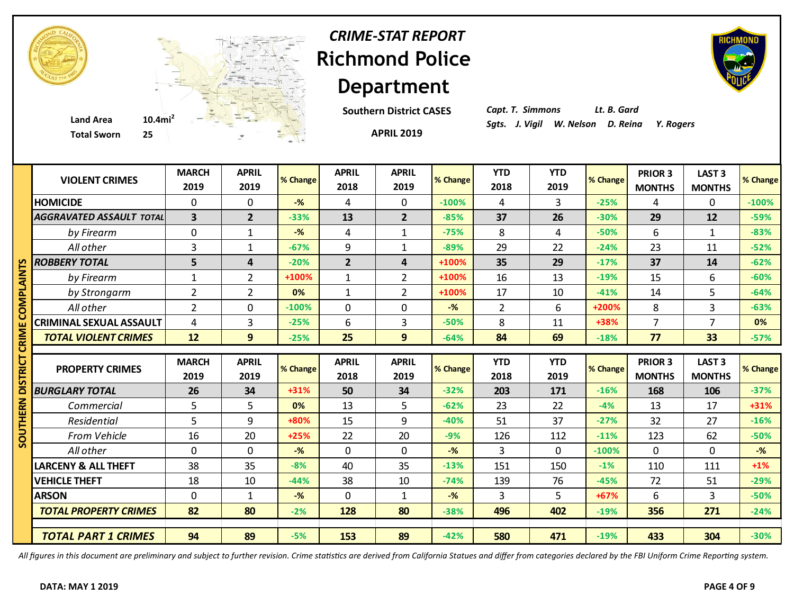

### **Richmond Police Department** *CRIME-STAT REPORT*

**Southern District CASES**

**APRIL 2019**



*Capt. T. Simmons Lt. B. Gard*

|        | <b>VIOLENT CRIMES</b>           | <b>MARCH</b><br>2019    | <b>APRIL</b><br>2019 | % Change | <b>APRIL</b><br>2018 | <b>APRIL</b><br>2019 | % Change       | <b>YTD</b><br>2018 | <b>YTD</b><br>2019 | % Change | PRIOR 3<br><b>MONTHS</b> | <b>LAST 3</b><br><b>MONTHS</b> | % Change |
|--------|---------------------------------|-------------------------|----------------------|----------|----------------------|----------------------|----------------|--------------------|--------------------|----------|--------------------------|--------------------------------|----------|
|        | <b>HOMICIDE</b>                 | $\mathbf 0$             | $\mathbf{0}$         | $-%$     | 4                    | $\mathbf{0}$         | $-100%$        | 4                  | 3                  | $-25%$   | 4                        | $\mathbf 0$                    | $-100%$  |
|        | <b>AGGRAVATED ASSAULT TOTAL</b> | $\overline{\mathbf{3}}$ | $\overline{2}$       | $-33%$   | 13                   | $2^{1}$              | $-85%$         | 37                 | 26                 | $-30%$   | 29                       | 12                             | $-59%$   |
|        | by Firearm                      | $\mathbf{0}$            | $\mathbf{1}$         | $-$ %    | 4                    | $\mathbf{1}$         | $-75%$         | 8                  | 4                  | $-50%$   | 6                        | $\mathbf{1}$                   | $-83%$   |
|        | All other                       | 3                       | $\mathbf{1}$         | $-67%$   | 9                    | $\mathbf{1}$         | $-89%$         | 29                 | 22                 | $-24%$   | 23                       | 11                             | $-52%$   |
| m      | <b>ROBBERY TOTAL</b>            | 5                       | $\overline{4}$       | $-20%$   | $\overline{2}$       | 4                    | +100%          | 35                 | 29                 | $-17%$   | 37                       | 14                             | $-62%$   |
| ≧<br>द | by Firearm                      | $\mathbf{1}$            | $\overline{2}$       | +100%    | 1                    | $\overline{2}$       | +100%          | 16                 | 13                 | $-19%$   | 15                       | 6                              | $-60%$   |
|        | by Strongarm                    | $\overline{2}$          | $\overline{2}$       | 0%       | $\mathbf{1}$         | $\overline{2}$       | +100%          | 17                 | 10                 | $-41%$   | 14                       | 5                              | $-64%$   |
|        | All other                       | $\overline{2}$          | $\mathbf 0$          | $-100%$  | $\mathbf 0$          | 0                    | $-$ %          | $\overline{2}$     | 6                  | $+200%$  | 8                        | 3                              | $-63%$   |
|        | <b>CRIMINAL SEXUAL ASSAULT</b>  | 4                       | $\overline{3}$       | $-25%$   | 6                    | 3                    | $-50%$         | 8                  | 11                 | +38%     | $\overline{7}$           | $\overline{7}$                 | 0%       |
|        | <b>TOTAL VIOLENT CRIMES</b>     | 12                      | 9                    | $-25%$   | 25                   | 9                    | $-64%$         | 84                 | 69                 | $-18%$   | 77                       | 33                             | $-57%$   |
|        |                                 |                         |                      |          |                      |                      |                |                    |                    |          |                          |                                |          |
|        |                                 |                         |                      |          |                      |                      |                |                    |                    |          |                          |                                |          |
|        | <b>PROPERTY CRIMES</b>          | <b>MARCH</b>            | <b>APRIL</b>         | % Change | <b>APRIL</b>         | <b>APRIL</b>         | % Change       | <b>YTD</b>         | <b>YTD</b>         | % Change | <b>PRIOR 3</b>           | LAST <sub>3</sub>              | % Change |
| ē      |                                 | 2019                    | 2019                 |          | 2018                 | 2019                 |                | 2018               | 2019               |          | <b>MONTHS</b>            | <b>MONTHS</b>                  |          |
|        | <b>BURGLARY TOTAL</b>           | 26                      | 34                   | $+31%$   | 50                   | 34                   | $-32%$         | 203                | 171                | $-16%$   | 168                      | 106                            | $-37%$   |
| ౾      | Commercial                      | 5                       | 5                    | 0%       | 13                   | 5                    | $-62%$         | 23                 | 22                 | $-4%$    | 13                       | 17                             | +31%     |
|        | Residential                     | 5                       | 9                    | +80%     | 15                   | 9                    | $-40%$         | 51                 | 37                 | $-27%$   | 32                       | 27                             | $-16%$   |
| 2      | From Vehicle                    | 16                      | 20                   | $+25%$   | 22                   | 20                   | $-9%$          | 126                | 112                | $-11%$   | 123                      | 62                             | $-50%$   |
|        | All other                       | $\mathbf 0$             | $\mathbf 0$          | $-$ %    | $\mathbf 0$          | $\mathbf 0$          | $-$ %          | 3                  | 0                  | $-100%$  | $\mathbf 0$              | $\mathbf 0$                    | $-%$     |
|        | <b>LARCENY &amp; ALL THEFT</b>  | 38                      | 35                   | $-8%$    | 40                   | 35                   | $-13%$         | 151                | 150                | $-1%$    | 110                      | 111                            | $+1%$    |
|        | <b>VEHICLE THEFT</b>            | 18                      | 10                   | $-44%$   | 38                   | 10                   | $-74%$         | 139                | 76                 | $-45%$   | 72                       | 51                             | $-29%$   |
|        | <b>ARSON</b>                    | $\mathbf 0$             | $\mathbf{1}$         | $-$ %    | $\mathbf 0$          | 1                    | $-\frac{9}{6}$ | 3                  | 5                  | $+67%$   | 6                        | 3                              | $-50%$   |
|        | <b>TOTAL PROPERTY CRIMES</b>    | 82                      | 80                   | $-2%$    | 128                  | 80                   | $-38%$         | 496                | 402                | $-19%$   | 356                      | 271                            | $-24%$   |
|        |                                 |                         |                      |          |                      |                      |                |                    |                    |          |                          |                                |          |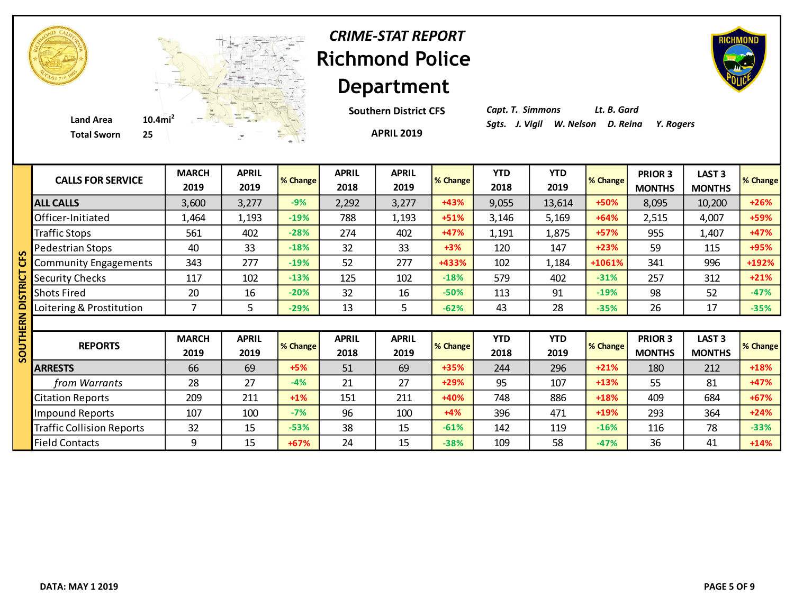

### **Richmond Police Department** *CRIME-STAT REPORT*

**Southern District CFS**

*Capt. T. Simmons Lt. B. Gard*

|   | <b>CALLS FOR SERVICE</b>         | <b>MARCH</b><br>2019 | <b>APRIL</b><br>2019 | % Change | <b>APRIL</b><br>2018 | <b>APRIL</b><br>2019 | % Change | <b>YTD</b><br>2018 | <b>YTD</b><br>2019 | % Change | PRIOR 3<br><b>MONTHS</b>        | LAST <sub>3</sub><br><b>MONTHS</b> | % Change |
|---|----------------------------------|----------------------|----------------------|----------|----------------------|----------------------|----------|--------------------|--------------------|----------|---------------------------------|------------------------------------|----------|
|   | <b>ALL CALLS</b>                 | 3,600                | 3,277                | $-9%$    | 2,292                | 3,277                | $+43%$   | 9,055              | 13,614             | +50%     | 8,095                           | 10,200                             | $+26%$   |
|   | Officer-Initiated                | 1,464                | 1,193                | $-19%$   | 788                  | 1,193                | $+51%$   | 3,146              | 5,169              | $+64%$   | 2,515                           | 4,007                              | +59%     |
|   | <b>Traffic Stops</b>             | 561                  | 402                  | $-28%$   | 274                  | 402                  | $+47%$   | 1,191              | 1,875              | $+57%$   | 955                             | 1,407                              | +47%     |
|   | Pedestrian Stops                 | 40                   | 33                   | $-18%$   | 32                   | 33                   | $+3%$    | 120                | 147                | $+23%$   | 59                              | 115                                | +95%     |
|   | <b>Community Engagements</b>     | 343                  | 277                  | $-19%$   | 52                   | 277                  | +433%    | 102                | 1,184              | +1061%   | 341                             | 996                                | +192%    |
|   | <b>Security Checks</b>           | 117                  | 102                  | $-13%$   | 125                  | 102                  | $-18%$   | 579                | 402                | $-31%$   | 257                             | 312                                | $+21%$   |
|   | <b>Shots Fired</b>               | 20                   | 16                   | $-20%$   | 32                   | 16                   | $-50%$   | 113                | 91                 | $-19%$   | 98                              | 52                                 | $-47%$   |
|   | Loitering & Prostitution         | 7                    | 5                    | $-29%$   | 13                   | 5                    | $-62%$   | 43                 | 28                 | $-35%$   | 26                              | 17                                 | $-35%$   |
| œ |                                  |                      |                      |          |                      |                      |          |                    |                    |          |                                 |                                    |          |
|   | <b>REPORTS</b>                   | <b>MARCH</b><br>2019 | <b>APRIL</b><br>2019 | % Change | <b>APRIL</b><br>2018 | <b>APRIL</b><br>2019 | % Change | <b>YTD</b><br>2018 | <b>YTD</b><br>2019 | % Change | <b>PRIOR 3</b><br><b>MONTHS</b> | LAST <sub>3</sub><br><b>MONTHS</b> | % Change |
|   | <b>ARRESTS</b>                   | 66                   | 69                   | $+5%$    | 51                   | 69                   | $+35%$   | 244                | 296                | $+21%$   | 180                             | 212                                | +18%     |
|   | from Warrants                    | 28                   | 27                   | $-4%$    | 21                   | 27                   | $+29%$   | 95                 | 107                | $+13%$   | 55                              | 81                                 | +47%     |
|   | <b>Citation Reports</b>          | 209                  | 211                  | $+1%$    | 151                  | 211                  | +40%     | 748                | 886                | +18%     | 409                             | 684                                | $+67%$   |
|   | <b>Impound Reports</b>           | 107                  | 100                  | $-7%$    | 96                   | 100                  | $+4%$    | 396                | 471                | +19%     | 293                             | 364                                | $+24%$   |
|   | <b>Traffic Collision Reports</b> | 32                   | 15                   | $-53%$   | 38                   | 15                   | $-61%$   | 142                | 119                | $-16%$   | 116                             | 78                                 | $-33%$   |
|   | <b>Field Contacts</b>            | 9                    | 15                   | $+67%$   | 24                   | 15                   | $-38%$   | 109                | 58                 | $-47%$   | 36                              | 41                                 | $+14%$   |



**APRIL 2019**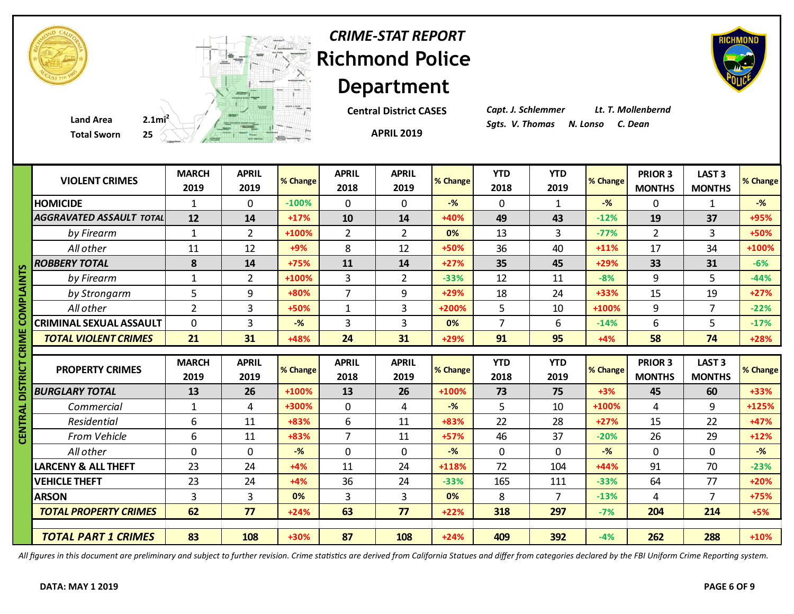| <b>CRIME-STAT REPORT</b> |
|--------------------------|
| <b>Richmond Police</b>   |
| <b>Department</b>        |

**Central District CASES**

**APRIL 2019**

*Capt. J. Schlemmer Lt. T. Mollenbernd*

| <b>VIOLENT CRIMES</b>           | <b>MARCH</b><br>2019 | <b>APRIL</b><br>2019 | % Change       | <b>APRIL</b><br>2018 | <b>APRIL</b><br>2019 | % Change | <b>YTD</b><br>2018 | <b>YTD</b><br>2019 | % Change | <b>PRIOR 3</b><br><b>MONTHS</b> | LAST <sub>3</sub><br><b>MONTHS</b> | % Change       |
|---------------------------------|----------------------|----------------------|----------------|----------------------|----------------------|----------|--------------------|--------------------|----------|---------------------------------|------------------------------------|----------------|
| <b>HOMICIDE</b>                 | $\mathbf{1}$         | $\Omega$             | $-100%$        | $\mathbf 0$          | $\Omega$             | $-$ %    | $\mathbf{0}$       | $\mathbf{1}$       | $-$ %    | $\mathbf 0$                     | $\mathbf{1}$                       | $-$ %          |
| <b>AGGRAVATED ASSAULT TOTAL</b> | 12                   | 14                   | $+17%$         | 10                   | 14                   | +40%     | 49                 | 43                 | $-12%$   | 19                              | 37                                 | +95%           |
| by Firearm                      | $\mathbf{1}$         | $\overline{2}$       | $+100%$        | $\overline{2}$       | $\overline{2}$       | 0%       | 13                 | 3                  | $-77%$   | $\overline{2}$                  | 3                                  | +50%           |
| All other                       | 11                   | 12                   | $+9%$          | 8                    | 12                   | +50%     | 36                 | 40                 | $+11%$   | 17                              | 34                                 | +100%          |
| <b>ROBBERY TOTAL</b>            | 8                    | 14                   | +75%           | 11                   | 14                   | $+27%$   | 35                 | 45                 | $+29%$   | 33                              | 31                                 | $-6%$          |
| by Firearm                      | 1                    | 2                    | +100%          | 3                    | $\overline{2}$       | $-33%$   | 12                 | 11                 | $-8%$    | 9                               | 5                                  | $-44%$         |
| by Strongarm                    | 5                    | 9                    | +80%           | $\overline{7}$       | 9                    | +29%     | 18                 | 24                 | +33%     | 15                              | 19                                 | $+27%$         |
| All other                       | $\overline{2}$       | $\overline{3}$       | +50%           | $\mathbf{1}$         | 3                    | +200%    | 5                  | 10                 | +100%    | 9                               | $\overline{7}$                     | $-22%$         |
| <b>CRIMINAL SEXUAL ASSAULT</b>  | 0                    | 3                    | $-%$           | 3                    | 3                    | 0%       | $\overline{7}$     | 6                  | $-14%$   | 6                               | 5                                  | $-17%$         |
| <b>TOTAL VIOLENT CRIMES</b>     | 21                   | 31                   | +48%           | 24                   | 31                   | +29%     | 91                 | 95                 | $+4%$    | 58                              | 74                                 | $+28%$         |
|                                 |                      |                      |                |                      |                      |          |                    |                    |          |                                 |                                    |                |
|                                 |                      |                      |                |                      |                      |          |                    |                    |          |                                 |                                    |                |
|                                 | <b>MARCH</b>         | <b>APRIL</b>         |                | <b>APRIL</b>         | <b>APRIL</b>         |          | <b>YTD</b>         | <b>YTD</b>         |          | <b>PRIOR 3</b>                  | <b>LAST 3</b>                      |                |
| <b>PROPERTY CRIMES</b>          | 2019                 | 2019                 | % Change       | 2018                 | 2019                 | % Change | 2018               | 2019               | % Change | <b>MONTHS</b>                   | <b>MONTHS</b>                      |                |
| <b>BURGLARY TOTAL</b>           | 13                   | 26                   | $+100%$        | 13                   | 26                   | +100%    | 73                 | 75                 | $+3%$    | 45                              | 60                                 | $+33%$         |
| Commercial                      | 1                    | 4                    | +300%          | $\mathbf 0$          | 4                    | $-$ %    | 5                  | 10                 | +100%    | 4                               | 9                                  | +125%          |
| Residential                     | 6                    | 11                   | +83%           | 6                    | 11                   | +83%     | 22                 | 28                 | $+27%$   | 15                              | 22                                 | $+47%$         |
| From Vehicle                    | 6                    | 11                   | +83%           | $\overline{7}$       | 11                   | +57%     | 46                 | 37                 | $-20%$   | 26                              | 29                                 | $+12%$         |
| All other                       | 0                    | $\mathbf 0$          | $-\frac{9}{6}$ | $\mathbf 0$          | $\mathbf{0}$         | $-$ %    | $\mathbf 0$        | $\mathbf 0$        | $-$ %    | $\mathbf 0$                     | 0                                  | $-\frac{9}{6}$ |
| <b>LARCENY &amp; ALL THEFT</b>  | 23                   | 24                   | $+4%$          | 11                   | 24                   | +118%    | 72                 | 104                | $+44%$   | 91                              | 70                                 | $-23%$         |
| <b>VEHICLE THEFT</b>            | 23                   | 24                   | $+4%$          | 36                   | 24                   | $-33%$   | 165                | 111                | $-33%$   | 64                              | 77                                 | $+20%$         |
| <b>ARSON</b>                    | $\overline{3}$       | 3                    | 0%             | 3                    | 3                    | 0%       | 8                  | $\overline{7}$     | $-13%$   | 4                               | $\overline{7}$                     | $+75%$         |
| <b>TOTAL PROPERTY CRIMES</b>    | 62                   | 77                   | $+24%$         | 63                   | 77                   | $+22%$   | 318                | 297                | $-7%$    | 204                             | 214                                | $+5%$          |
|                                 |                      |                      |                |                      |                      |          |                    |                    |          |                                 |                                    | % Change       |



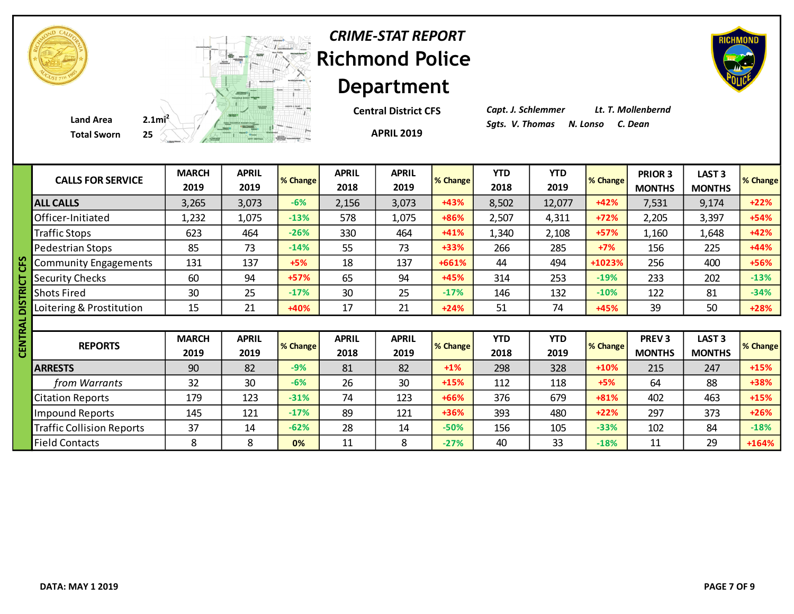| <b>PAGE 7 OF</b> |  |  |
|------------------|--|--|

| Officer-Initiated                | 1,232        | 1,075        | $-13%$   | 578          | 1,075        | +86%     | 2,507      | 4,311      | $+72%$   | 2,205             | 3,397             | $+54%$  |
|----------------------------------|--------------|--------------|----------|--------------|--------------|----------|------------|------------|----------|-------------------|-------------------|---------|
| <b>Traffic Stops</b>             | 623          | 464          | $-26%$   | 330          | 464          | $+41%$   | 1,340      | 2,108      | $+57%$   | 1,160             | 1,648             | $+42%$  |
| Pedestrian Stops                 | 85           | 73           | $-14%$   | 55           | 73           | $+33%$   | 266        | 285        | $+7%$    | 156               | 225               | +44%    |
| <b>Community Engagements</b>     | 131          | 137          | $+5%$    | 18           | 137          | $+661%$  | 44         | 494        | +1023%   | 256               | 400               | +56%    |
| <b>Security Checks</b>           | 60           | 94           | $+57%$   | 65           | 94           | $+45%$   | 314        | 253        | $-19%$   | 233               | 202               | $-13%$  |
| <b>Shots Fired</b>               | 30           | 25           | $-17%$   | 30           | 25           | $-17%$   | 146        | 132        | $-10%$   | 122               | 81                | $-34%$  |
| Loitering & Prostitution         | 15           | 21           | +40%     | 17           | 21           | $+24%$   | 51         | 74         | +45%     | 39                | 50                | +28%    |
|                                  |              |              |          |              |              |          |            |            |          |                   |                   |         |
|                                  | <b>MARCH</b> | <b>APRIL</b> |          | <b>APRIL</b> | <b>APRIL</b> |          | <b>YTD</b> | <b>YTD</b> | % Change | PREV <sub>3</sub> | LAST <sub>3</sub> | % Chang |
| <b>REPORTS</b>                   | 2019         | 2019         | % Change | 2018         | 2019         | % Change | 2018       | 2019       |          | <b>MONTHS</b>     | <b>MONTHS</b>     |         |
| <b>ARRESTS</b>                   | 90           | 82           | $-9%$    | 81           | 82           | $+1%$    | 298        | 328        | $+10%$   | 215               | 247               | $+15%$  |
| from Warrants                    | 32           | 30           | $-6%$    | 26           | 30           | $+15%$   | 112        | 118        | $+5%$    | 64                | 88                | +38%    |
| <b>Citation Reports</b>          | 179          | 123          | $-31%$   | 74           | 123          | +66%     | 376        | 679        | $+81%$   | 402               | 463               | $+15%$  |
| <b>Impound Reports</b>           | 145          | 121          | $-17%$   | 89           | 121          | $+36%$   | 393        | 480        | $+22%$   | 297               | 373               | $+26%$  |
| <b>Traffic Collision Reports</b> | 37           | 14           | $-62%$   | 28           | 14           | $-50%$   | 156        | 105        | $-33%$   | 102               | 84                | $-18%$  |
| <b>Field Contacts</b>            | 8            | 8            | 0%       | 11           | 8            | $-27%$   | 40         | 33         | $-18%$   | 11                | 29                | +164%   |
|                                  |              |              |          |              |              |          |            |            |          |                   |                   |         |

## **Richmond Police Department** *CRIME-STAT REPORT*

**APRIL 2019 Central District CFS**

> **APRIL 2019**

**ALL CALLS** 3,265 3,073 **-6%** 2,156 3,073 **+43%** 8,502 12,077 **+42%** 7,531 9,174 **+22%**

**% Change**

**YTD 2018**

*Capt. J. Schlemmer Lt. T. Mollenbernd* **Example 2.1mi**<sup>2</sup> **Sydicular System Company of the System Company of System C. Dean System C. Dean 25 2.1mi**<sup>2</sup> **25 2.2mi 25 2.2mi 25 2.2mi 25 2.2mi 25 2.2mi 25 2.2mi 25 2.2mi 2.2mi 2.2** 

**% Change PRIOR 3** 

**MONTHS**

**YTD 2019**

**Total Sworn** 

**CALLS FOR SERVICE**

**MARCH 2019**

**APRIL 2019**

**% Change**

**APRIL 2018**



**% Change**

**% Change**

**LAST 3 MONTHS**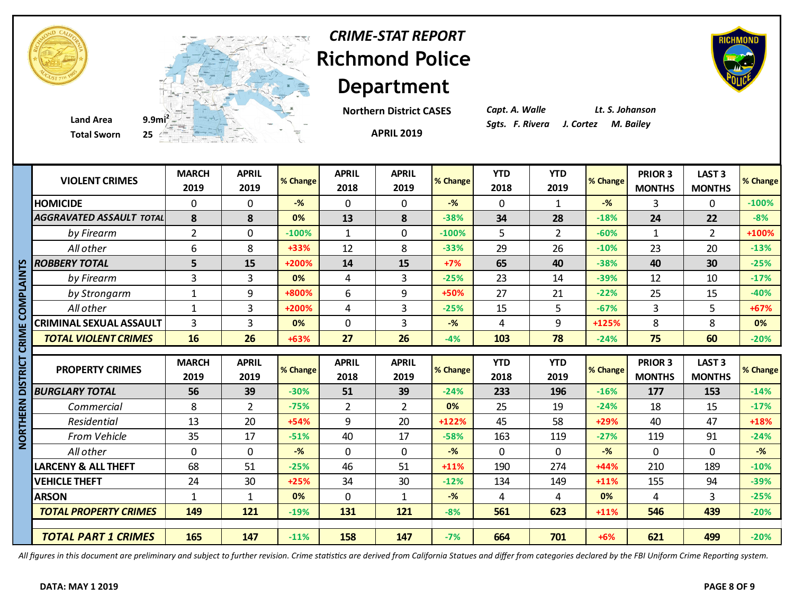



**Total Sworn** 

**Department Northern District CASES**

**APRIL 2019**

*CRIME-STAT REPORT*

*Capt. A. Walle Lt. S. Johanson*

|                 | <b>VIOLENT CRIMES</b>           | <b>MARCH</b><br>2019 | <b>APRIL</b><br>2019 | % Change       | <b>APRIL</b><br>2018 | <b>APRIL</b><br>2019 | % Change | <b>YTD</b><br>2018 | <b>YTD</b><br>2019 | % Change | <b>PRIOR 3</b><br><b>MONTHS</b> | <b>LAST 3</b><br><b>MONTHS</b> | % Change           |
|-----------------|---------------------------------|----------------------|----------------------|----------------|----------------------|----------------------|----------|--------------------|--------------------|----------|---------------------------------|--------------------------------|--------------------|
|                 | <b>HOMICIDE</b>                 | 0                    | 0                    | $-%$           | $\mathbf 0$          | $\Omega$             | $-$ %    | $\mathbf{0}$       | $\mathbf{1}$       | $-%$     | 3                               | $\Omega$                       | $-100%$            |
|                 | <b>AGGRAVATED ASSAULT TOTAL</b> | 8                    | 8                    | 0%             | 13                   | 8                    | $-38%$   | 34                 | 28                 | $-18%$   | 24                              | 22                             | $-8%$              |
|                 | by Firearm                      | $\overline{2}$       | $\mathbf 0$          | $-100%$        | $\mathbf{1}$         | $\overline{0}$       | $-100%$  | 5                  | $\overline{2}$     | $-60%$   | $\mathbf{1}$                    | $\overline{2}$                 | +100%              |
|                 | All other                       | 6                    | 8                    | $+33%$         | 12                   | 8                    | $-33%$   | 29                 | 26                 | $-10%$   | 23                              | 20                             | $-13%$             |
| n               | <b>ROBBERY TOTAL</b>            | 5                    | 15                   | $+200%$        | 14                   | 15                   | $+7%$    | 65                 | 40                 | $-38%$   | 40                              | 30                             | $-25%$             |
|                 | by Firearm                      | 3                    | 3                    | 0%             | 4                    | 3                    | $-25%$   | 23                 | 14                 | $-39%$   | 12                              | 10                             | $-17%$             |
| <b>DIALAIN</b>  | by Strongarm                    | 1                    | 9                    | +800%          | 6                    | 9                    | +50%     | 27                 | 21                 | $-22%$   | 25                              | 15                             | $-40%$             |
|                 | All other                       | $\mathbf{1}$         | 3                    | +200%          | 4                    | 3                    | $-25%$   | 15                 | 5                  | $-67%$   | 3                               | 5                              | $+67%$             |
|                 | <b>CRIMINAL SEXUAL ASSAULT</b>  | $\overline{3}$       | 3                    | 0%             | $\mathbf 0$          | 3                    | $-%$     | 4                  | 9                  | +125%    | 8                               | 8                              | 0%                 |
|                 | <b>TOTAL VIOLENT CRIMES</b>     | 16                   | 26                   | $+63%$         | 27                   | 26                   | $-4%$    | 103                | 78                 | $-24%$   | 75                              | 60                             | $-20%$             |
| ರ               |                                 |                      |                      |                |                      |                      |          |                    |                    |          |                                 |                                |                    |
|                 |                                 |                      |                      |                |                      |                      |          |                    |                    |          |                                 |                                |                    |
| ם<br>≌          | <b>PROPERTY CRIMES</b>          | <b>MARCH</b>         | <b>APRIL</b>         | % Change       | <b>APRIL</b>         | <b>APRIL</b>         | % Change | <b>YTD</b>         | <b>YTD</b>         | % Change | PRIOR 3                         | LAST <sub>3</sub>              |                    |
|                 | <b>BURGLARY TOTAL</b>           | 2019<br>56           | 2019<br>39           | $-30%$         | 2018<br>51           | 2019<br>39           | $-24%$   | 2018<br>233        | 2019<br>196        | $-16%$   | <b>MONTHS</b><br>177            | <b>MONTHS</b><br>153           | $-14%$             |
|                 | Commercial                      | 8                    | $\overline{2}$       | $-75%$         | $\overline{2}$       | $\overline{2}$       | 0%       | 25                 | 19                 | $-24%$   | 18                              | 15                             | $-17%$             |
|                 | Residential                     | 13                   | 20                   | $+54%$         | 9                    | 20                   | $+122%$  | 45                 | 58                 | $+29%$   | 40                              | 47                             | +18%               |
|                 | From Vehicle                    | 35                   | 17                   | $-51%$         | 40                   | 17                   | $-58%$   | 163                | 119                | $-27%$   | 119                             | 91                             | $-24%$             |
| <b>NORTHERN</b> | All other                       | 0                    | $\Omega$             | $-\frac{9}{6}$ | $\mathbf 0$          | $\mathbf{0}$         | $-$ %    | 0                  | $\mathbf 0$        | $-$ %    | $\mathbf 0$                     | 0                              | $-$ %              |
|                 | <b>LARCENY &amp; ALL THEFT</b>  | 68                   | 51                   | $-25%$         | 46                   | 51                   | $+11%$   | 190                | 274                | $+44%$   | 210                             | 189                            | $-10%$             |
|                 | <b>VEHICLE THEFT</b>            | 24                   | 30                   | $+25%$         | 34                   | 30                   | $-12%$   | 134                | 149                | $+11%$   | 155                             | 94                             | $-39%$             |
|                 | <b>ARSON</b>                    | $\mathbf{1}$         | $\mathbf{1}$         | 0%             | $\mathbf 0$          | $\mathbf{1}$         | $-$ %    | 4                  | 4                  | 0%       | 4                               | 3                              | $-25%$             |
|                 | <b>TOTAL PROPERTY CRIMES</b>    | 149                  | 121                  | $-19%$         | 131                  | 121                  | $-8%$    | 561                | 623                | $+11%$   | 546                             | 439                            | $-20%$             |
|                 | <b>TOTAL PART 1 CRIMES</b>      | 165                  | 147                  | $-11%$         | 158                  | 147                  | $-7%$    | 664                | 701                | $+6%$    | 621                             | 499                            | % Change<br>$-20%$ |